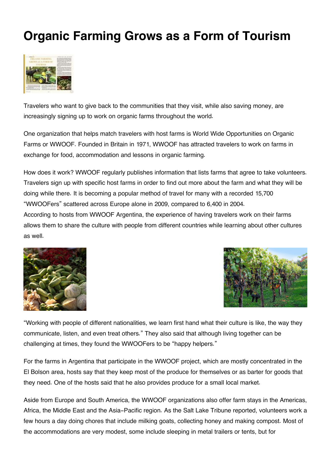## **Organic Farming Grows as a Form of Tourism**



Travelers who want to give back to the communities that they visit, while also saving money, are increasingly signing up to work on organic farms throughout the world.

One organization that helps match travelers with host farms is World Wide Opportunities on Organic Farms or WWOOF. Founded in Britain in 1971, WWOOF has attracted travelers to work on farms in exchange for food, accommodation and lessons in organic farming.

How does it work? WWOOF regularly publishes information that lists farms that agree to take volunteers. Travelers sign up with specific host farms in order to find out more about the farm and what they will be doing while there. It is becoming a popular method of travel for many with a recorded 15,700 "WWOOFers" scattered across Europe alone in 2009, compared to 6,400 in 2004.

According to hosts from WWOOF Argentina, the experience of having travelers work on their farms allows them to share the culture with people from different countries while learning about other cultures as well.





"Working with people of different nationalities, we learn first hand what their culture is like, the way they communicate, listen, and even treat others." They also said that although living together can be challenging at times, they found the WWOOFers to be "happy helpers."

For the farms in Argentina that participate in the WWOOF project, which are mostly concentrated in the El Bolson area, hosts say that they keep most of the produce for themselves or as barter for goods that they need. One of the hosts said that he also provides produce for a small local market.

Aside from Europe and South America, the WWOOF organizations also offer farm stays in the Americas, Africa, the Middle East and the Asia-Pacific region. As the Salt Lake Tribune reported, volunteers work a few hours a day doing chores that include milking goats, collecting honey and making compost. Most of the accommodations are very modest, some include sleeping in metal trailers or tents, but for